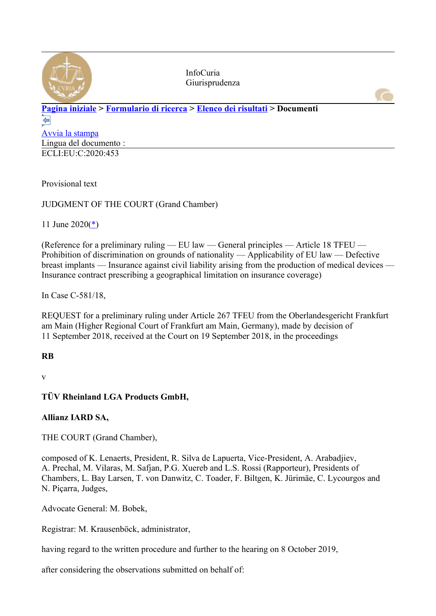

InfoCuria Giurisprudenza

#### **[Pagina iniziale](http://curia.europa.eu/jcms/jcms/j_6?PortalAction_x_000_userLang=it) > [Formulario di ricerca](http://curia.europa.eu/juris/document/document.jsf?docid=227294&text=&dir=&doclang=EN&part=1&occ=first&mode=lst&pageIndex=0&actionMethod=document%2Fdocument.xhtml%3AformController.resetAction&cid=6390927) > [Elenco dei risultati](http://curia.europa.eu/juris/documents.jsf?oqp=&for=&mat=or&lgrec=it&jge=&td=%3BALL&jur=C&etat=clot&page=1&dates=%2524type%253Dpro%2524mode%253DfromTo%2524from%253D2020.05.16%2524to%253D2020.06.22&pcs=Oor&lg=&pro=&nat=or&cit=none%252CC%252CCJ%252CR%252C2008E%252C%252C%252C%252C%252C%252C%252C%252C%252C%252Ctrue%252Cfalse%252Cfalse&language=it&avg=&cid=6390927) > Documenti**  ⇔

[Avvia la stampa](http://curia.europa.eu/juris/document/document_print.jsf?docid=227294&text=&dir=&doclang=EN&part=1&occ=first&mode=lst&pageIndex=0&cid=6390927) Lingua del documento : ECLI:EU:C:2020:453

Provisional text

JUDGMENT OF THE COURT (Grand Chamber)

11 June 2020([\\*\)](http://curia.europa.eu/juris/document/document.jsf?text=&docid=227294&pageIndex=0&doclang=EN&mode=lst&dir=&occ=first&part=1&cid=6390927#Footnote*)

(Reference for a preliminary ruling — EU law — General principles — Article 18 TFEU — Prohibition of discrimination on grounds of nationality — Applicability of EU law — Defective breast implants — Insurance against civil liability arising from the production of medical devices — Insurance contract prescribing a geographical limitation on insurance coverage)

In Case C-581/18,

REQUEST for a preliminary ruling under Article 267 TFEU from the Oberlandesgericht Frankfurt am Main (Higher Regional Court of Frankfurt am Main, Germany), made by decision of 11 September 2018, received at the Court on 19 September 2018, in the proceedings

# **RB**

v

**TÜV Rheinland LGA Products GmbH,**

# **Allianz IARD SA,**

THE COURT (Grand Chamber),

composed of K. Lenaerts, President, R. Silva de Lapuerta, Vice-President, A. Arabadjiev, A. Prechal, M. Vilaras, M. Safjan, P.G. Xuereb and L.S. Rossi (Rapporteur), Presidents of Chambers, L. Bay Larsen, T. von Danwitz, C. Toader, F. Biltgen, K. Jürimäe, C. Lycourgos and N. Piçarra, Judges,

Advocate General: M. Bobek,

Registrar: M. Krausenböck, administrator,

having regard to the written procedure and further to the hearing on 8 October 2019,

after considering the observations submitted on behalf of: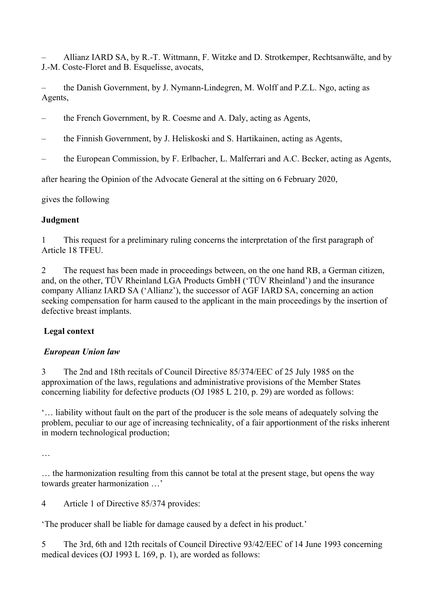– Allianz IARD SA, by R.-T. Wittmann, F. Witzke and D. Strotkemper, Rechtsanwälte, and by J.-M. Coste-Floret and B. Esquelisse, avocats,

– the Danish Government, by J. Nymann-Lindegren, M. Wolff and P.Z.L. Ngo, acting as Agents,

- the French Government, by R. Coesme and A. Daly, acting as Agents,
- the Finnish Government, by J. Heliskoski and S. Hartikainen, acting as Agents,
- the European Commission, by F. Erlbacher, L. Malferrari and A.C. Becker, acting as Agents,

after hearing the Opinion of the Advocate General at the sitting on 6 February 2020,

gives the following

#### **Judgment**

1 This request for a preliminary ruling concerns the interpretation of the first paragraph of Article 18 TFEU.

2 The request has been made in proceedings between, on the one hand RB, a German citizen, and, on the other, TÜV Rheinland LGA Products GmbH ('TÜV Rheinland') and the insurance company Allianz IARD SA ('Allianz'), the successor of AGF IARD SA, concerning an action seeking compensation for harm caused to the applicant in the main proceedings by the insertion of defective breast implants.

# **Legal context**

#### *European Union law*

3 The 2nd and 18th recitals of Council Directive 85/374/EEC of 25 July 1985 on the approximation of the laws, regulations and administrative provisions of the Member States concerning liability for defective products (OJ 1985 L 210, p. 29) are worded as follows:

'… liability without fault on the part of the producer is the sole means of adequately solving the problem, peculiar to our age of increasing technicality, of a fair apportionment of the risks inherent in modern technological production;

…

… the harmonization resulting from this cannot be total at the present stage, but opens the way towards greater harmonization …'

4 Article 1 of Directive 85/374 provides:

'The producer shall be liable for damage caused by a defect in his product.'

5 The 3rd, 6th and 12th recitals of Council Directive 93/42/EEC of 14 June 1993 concerning medical devices (OJ 1993 L 169, p. 1), are worded as follows: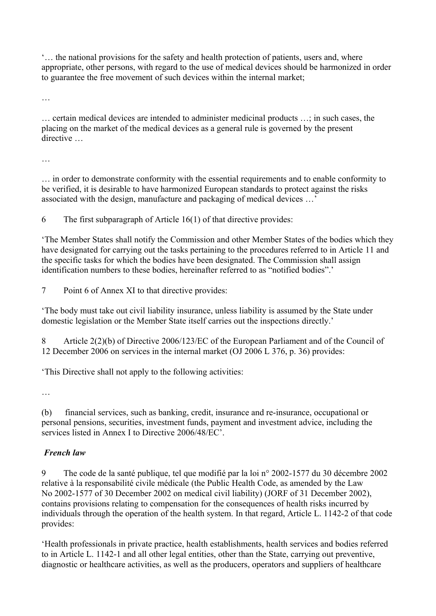'… the national provisions for the safety and health protection of patients, users and, where appropriate, other persons, with regard to the use of medical devices should be harmonized in order to guarantee the free movement of such devices within the internal market;

…

… certain medical devices are intended to administer medicinal products …; in such cases, the placing on the market of the medical devices as a general rule is governed by the present directive

…

… in order to demonstrate conformity with the essential requirements and to enable conformity to be verified, it is desirable to have harmonized European standards to protect against the risks associated with the design, manufacture and packaging of medical devices …'

6 The first subparagraph of Article 16(1) of that directive provides:

'The Member States shall notify the Commission and other Member States of the bodies which they have designated for carrying out the tasks pertaining to the procedures referred to in Article 11 and the specific tasks for which the bodies have been designated. The Commission shall assign identification numbers to these bodies, hereinafter referred to as "notified bodies".'

7 Point 6 of Annex XI to that directive provides:

'The body must take out civil liability insurance, unless liability is assumed by the State under domestic legislation or the Member State itself carries out the inspections directly.'

8 Article 2(2)(b) of Directive 2006/123/EC of the European Parliament and of the Council of 12 December 2006 on services in the internal market (OJ 2006 L 376, p. 36) provides:

'This Directive shall not apply to the following activities:

…

(b) financial services, such as banking, credit, insurance and re-insurance, occupational or personal pensions, securities, investment funds, payment and investment advice, including the services listed in Annex I to Directive 2006/48/EC'.

# *French law*

9 The code de la santé publique, tel que modifié par la loi n° 2002-1577 du 30 décembre 2002 relative à la responsabilité civile médicale (the Public Health Code, as amended by the Law No 2002-1577 of 30 December 2002 on medical civil liability) (JORF of 31 December 2002), contains provisions relating to compensation for the consequences of health risks incurred by individuals through the operation of the health system. In that regard, Article L. 1142-2 of that code provides:

'Health professionals in private practice, health establishments, health services and bodies referred to in Article L. 1142-1 and all other legal entities, other than the State, carrying out preventive, diagnostic or healthcare activities, as well as the producers, operators and suppliers of healthcare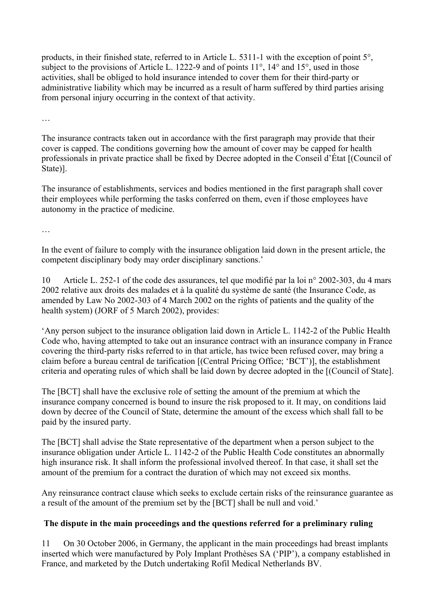products, in their finished state, referred to in Article L. 5311-1 with the exception of point 5°, subject to the provisions of Article L. 1222-9 and of points 11<sup>°</sup>, 14<sup>°</sup> and 15<sup>°</sup>, used in those activities, shall be obliged to hold insurance intended to cover them for their third-party or administrative liability which may be incurred as a result of harm suffered by third parties arising from personal injury occurring in the context of that activity.

…

The insurance contracts taken out in accordance with the first paragraph may provide that their cover is capped. The conditions governing how the amount of cover may be capped for health professionals in private practice shall be fixed by Decree adopted in the Conseil d'État [(Council of State)].

The insurance of establishments, services and bodies mentioned in the first paragraph shall cover their employees while performing the tasks conferred on them, even if those employees have autonomy in the practice of medicine.

…

In the event of failure to comply with the insurance obligation laid down in the present article, the competent disciplinary body may order disciplinary sanctions.'

10 Article L. 252-1 of the code des assurances, tel que modifié par la loi n° 2002-303, du 4 mars 2002 relative aux droits des malades et à la qualité du système de santé (the Insurance Code, as amended by Law No 2002-303 of 4 March 2002 on the rights of patients and the quality of the health system) (JORF of 5 March 2002), provides:

'Any person subject to the insurance obligation laid down in Article L. 1142-2 of the Public Health Code who, having attempted to take out an insurance contract with an insurance company in France covering the third-party risks referred to in that article, has twice been refused cover, may bring a claim before a bureau central de tarification [(Central Pricing Office; 'BCT')], the establishment criteria and operating rules of which shall be laid down by decree adopted in the [(Council of State].

The [BCT] shall have the exclusive role of setting the amount of the premium at which the insurance company concerned is bound to insure the risk proposed to it. It may, on conditions laid down by decree of the Council of State, determine the amount of the excess which shall fall to be paid by the insured party.

The [BCT] shall advise the State representative of the department when a person subject to the insurance obligation under Article L. 1142-2 of the Public Health Code constitutes an abnormally high insurance risk. It shall inform the professional involved thereof. In that case, it shall set the amount of the premium for a contract the duration of which may not exceed six months.

Any reinsurance contract clause which seeks to exclude certain risks of the reinsurance guarantee as a result of the amount of the premium set by the [BCT] shall be null and void.'

# **The dispute in the main proceedings and the questions referred for a preliminary ruling**

11 On 30 October 2006, in Germany, the applicant in the main proceedings had breast implants inserted which were manufactured by Poly Implant Prothèses SA ('PIP'), a company established in France, and marketed by the Dutch undertaking Rofil Medical Netherlands BV.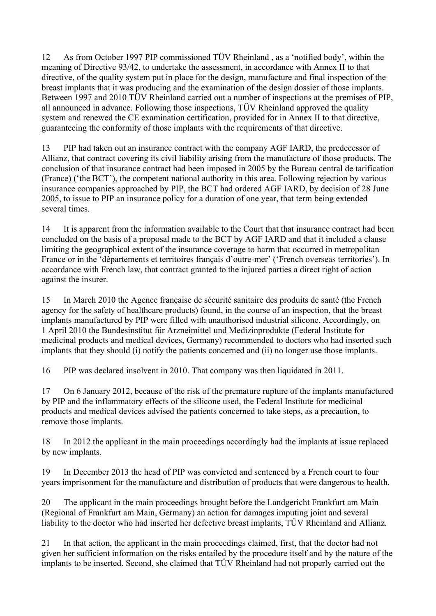12 As from October 1997 PIP commissioned TÜV Rheinland , as a 'notified body', within the meaning of Directive 93/42, to undertake the assessment, in accordance with Annex II to that directive, of the quality system put in place for the design, manufacture and final inspection of the breast implants that it was producing and the examination of the design dossier of those implants. Between 1997 and 2010 TÜV Rheinland carried out a number of inspections at the premises of PIP, all announced in advance. Following those inspections, TÜV Rheinland approved the quality system and renewed the CE examination certification, provided for in Annex II to that directive, guaranteeing the conformity of those implants with the requirements of that directive.

13 PIP had taken out an insurance contract with the company AGF IARD, the predecessor of Allianz, that contract covering its civil liability arising from the manufacture of those products. The conclusion of that insurance contract had been imposed in 2005 by the Bureau central de tarification (France) ('the BCT'), the competent national authority in this area. Following rejection by various insurance companies approached by PIP, the BCT had ordered AGF IARD, by decision of 28 June 2005, to issue to PIP an insurance policy for a duration of one year, that term being extended several times.

14 It is apparent from the information available to the Court that that insurance contract had been concluded on the basis of a proposal made to the BCT by AGF IARD and that it included a clause limiting the geographical extent of the insurance coverage to harm that occurred in metropolitan France or in the 'départements et territoires français d'outre-mer' ('French overseas territories'). In accordance with French law, that contract granted to the injured parties a direct right of action against the insurer.

15 In March 2010 the Agence française de sécurité sanitaire des produits de santé (the French agency for the safety of healthcare products) found, in the course of an inspection, that the breast implants manufactured by PIP were filled with unauthorised industrial silicone. Accordingly, on 1 April 2010 the Bundesinstitut für Arzneimittel und Medizinprodukte (Federal Institute for medicinal products and medical devices, Germany) recommended to doctors who had inserted such implants that they should (i) notify the patients concerned and (ii) no longer use those implants.

16 PIP was declared insolvent in 2010. That company was then liquidated in 2011.

17 On 6 January 2012, because of the risk of the premature rupture of the implants manufactured by PIP and the inflammatory effects of the silicone used, the Federal Institute for medicinal products and medical devices advised the patients concerned to take steps, as a precaution, to remove those implants.

18 In 2012 the applicant in the main proceedings accordingly had the implants at issue replaced by new implants.

19 In December 2013 the head of PIP was convicted and sentenced by a French court to four years imprisonment for the manufacture and distribution of products that were dangerous to health.

20 The applicant in the main proceedings brought before the Landgericht Frankfurt am Main (Regional of Frankfurt am Main, Germany) an action for damages imputing joint and several liability to the doctor who had inserted her defective breast implants, TÜV Rheinland and Allianz.

21 In that action, the applicant in the main proceedings claimed, first, that the doctor had not given her sufficient information on the risks entailed by the procedure itself and by the nature of the implants to be inserted. Second, she claimed that TÜV Rheinland had not properly carried out the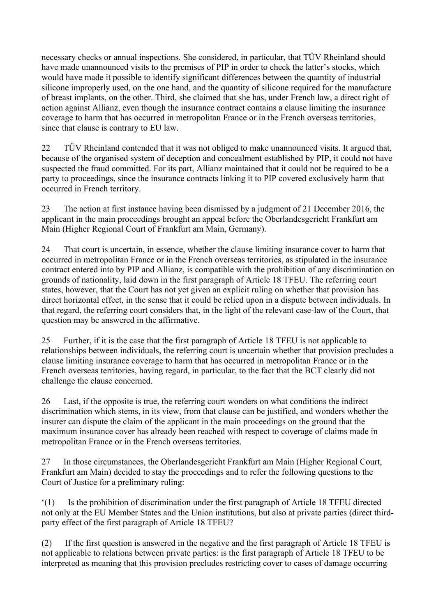necessary checks or annual inspections. She considered, in particular, that TÜV Rheinland should have made unannounced visits to the premises of PIP in order to check the latter's stocks, which would have made it possible to identify significant differences between the quantity of industrial silicone improperly used, on the one hand, and the quantity of silicone required for the manufacture of breast implants, on the other. Third, she claimed that she has, under French law, a direct right of action against Allianz, even though the insurance contract contains a clause limiting the insurance coverage to harm that has occurred in metropolitan France or in the French overseas territories, since that clause is contrary to EU law.

22 TÜV Rheinland contended that it was not obliged to make unannounced visits. It argued that, because of the organised system of deception and concealment established by PIP, it could not have suspected the fraud committed. For its part, Allianz maintained that it could not be required to be a party to proceedings, since the insurance contracts linking it to PIP covered exclusively harm that occurred in French territory.

23 The action at first instance having been dismissed by a judgment of 21 December 2016, the applicant in the main proceedings brought an appeal before the Oberlandesgericht Frankfurt am Main (Higher Regional Court of Frankfurt am Main, Germany).

24 That court is uncertain, in essence, whether the clause limiting insurance cover to harm that occurred in metropolitan France or in the French overseas territories, as stipulated in the insurance contract entered into by PIP and Allianz, is compatible with the prohibition of any discrimination on grounds of nationality, laid down in the first paragraph of Article 18 TFEU. The referring court states, however, that the Court has not yet given an explicit ruling on whether that provision has direct horizontal effect, in the sense that it could be relied upon in a dispute between individuals. In that regard, the referring court considers that, in the light of the relevant case-law of the Court, that question may be answered in the affirmative.

25 Further, if it is the case that the first paragraph of Article 18 TFEU is not applicable to relationships between individuals, the referring court is uncertain whether that provision precludes a clause limiting insurance coverage to harm that has occurred in metropolitan France or in the French overseas territories, having regard, in particular, to the fact that the BCT clearly did not challenge the clause concerned.

26 Last, if the opposite is true, the referring court wonders on what conditions the indirect discrimination which stems, in its view, from that clause can be justified, and wonders whether the insurer can dispute the claim of the applicant in the main proceedings on the ground that the maximum insurance cover has already been reached with respect to coverage of claims made in metropolitan France or in the French overseas territories.

27 In those circumstances, the Oberlandesgericht Frankfurt am Main (Higher Regional Court, Frankfurt am Main) decided to stay the proceedings and to refer the following questions to the Court of Justice for a preliminary ruling:

'(1) Is the prohibition of discrimination under the first paragraph of Article 18 TFEU directed not only at the EU Member States and the Union institutions, but also at private parties (direct thirdparty effect of the first paragraph of Article 18 TFEU?

(2) If the first question is answered in the negative and the first paragraph of Article 18 TFEU is not applicable to relations between private parties: is the first paragraph of Article 18 TFEU to be interpreted as meaning that this provision precludes restricting cover to cases of damage occurring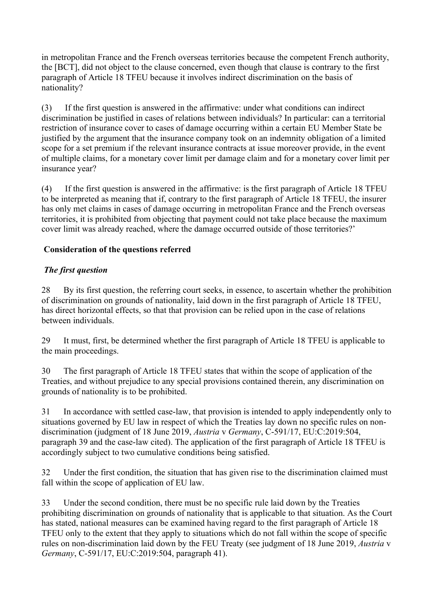in metropolitan France and the French overseas territories because the competent French authority, the [BCT], did not object to the clause concerned, even though that clause is contrary to the first paragraph of Article 18 TFEU because it involves indirect discrimination on the basis of nationality?

(3) If the first question is answered in the affirmative: under what conditions can indirect discrimination be justified in cases of relations between individuals? In particular: can a territorial restriction of insurance cover to cases of damage occurring within a certain EU Member State be justified by the argument that the insurance company took on an indemnity obligation of a limited scope for a set premium if the relevant insurance contracts at issue moreover provide, in the event of multiple claims, for a monetary cover limit per damage claim and for a monetary cover limit per insurance year?

(4) If the first question is answered in the affirmative: is the first paragraph of Article 18 TFEU to be interpreted as meaning that if, contrary to the first paragraph of Article 18 TFEU, the insurer has only met claims in cases of damage occurring in metropolitan France and the French overseas territories, it is prohibited from objecting that payment could not take place because the maximum cover limit was already reached, where the damage occurred outside of those territories?'

### **Consideration of the questions referred**

### *The first question*

28 By its first question, the referring court seeks, in essence, to ascertain whether the prohibition of discrimination on grounds of nationality, laid down in the first paragraph of Article 18 TFEU, has direct horizontal effects, so that that provision can be relied upon in the case of relations between individuals.

29 It must, first, be determined whether the first paragraph of Article 18 TFEU is applicable to the main proceedings.

30 The first paragraph of Article 18 TFEU states that within the scope of application of the Treaties, and without prejudice to any special provisions contained therein, any discrimination on grounds of nationality is to be prohibited.

31 In accordance with settled case-law, that provision is intended to apply independently only to situations governed by EU law in respect of which the Treaties lay down no specific rules on nondiscrimination (judgment of 18 June 2019, *Austria* v *Germany*, C-591/17, EU:C:2019:504, paragraph 39 and the case-law cited). The application of the first paragraph of Article 18 TFEU is accordingly subject to two cumulative conditions being satisfied.

32 Under the first condition, the situation that has given rise to the discrimination claimed must fall within the scope of application of EU law.

33 Under the second condition, there must be no specific rule laid down by the Treaties prohibiting discrimination on grounds of nationality that is applicable to that situation. As the Court has stated, national measures can be examined having regard to the first paragraph of Article 18 TFEU only to the extent that they apply to situations which do not fall within the scope of specific rules on non-discrimination laid down by the FEU Treaty (see judgment of 18 June 2019, *Austria* v *Germany*, C-591/17, EU:C:2019:504, paragraph 41).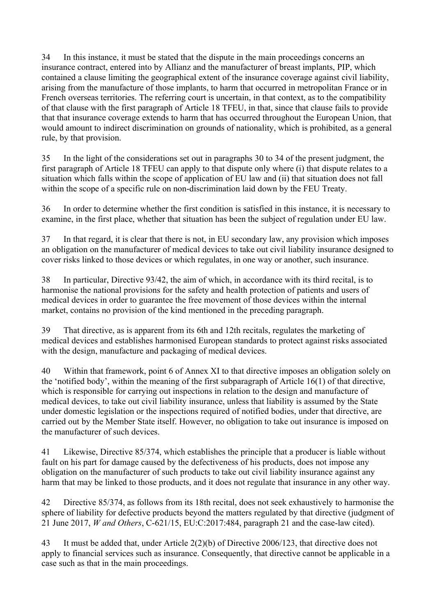34 In this instance, it must be stated that the dispute in the main proceedings concerns an insurance contract, entered into by Allianz and the manufacturer of breast implants, PIP, which contained a clause limiting the geographical extent of the insurance coverage against civil liability, arising from the manufacture of those implants, to harm that occurred in metropolitan France or in French overseas territories. The referring court is uncertain, in that context, as to the compatibility of that clause with the first paragraph of Article 18 TFEU, in that, since that clause fails to provide that that insurance coverage extends to harm that has occurred throughout the European Union, that would amount to indirect discrimination on grounds of nationality, which is prohibited, as a general rule, by that provision.

35 In the light of the considerations set out in paragraphs 30 to 34 of the present judgment, the first paragraph of Article 18 TFEU can apply to that dispute only where (i) that dispute relates to a situation which falls within the scope of application of EU law and (ii) that situation does not fall within the scope of a specific rule on non-discrimination laid down by the FEU Treaty.

36 In order to determine whether the first condition is satisfied in this instance, it is necessary to examine, in the first place, whether that situation has been the subject of regulation under EU law.

37 In that regard, it is clear that there is not, in EU secondary law, any provision which imposes an obligation on the manufacturer of medical devices to take out civil liability insurance designed to cover risks linked to those devices or which regulates, in one way or another, such insurance.

38 In particular, Directive 93/42, the aim of which, in accordance with its third recital, is to harmonise the national provisions for the safety and health protection of patients and users of medical devices in order to guarantee the free movement of those devices within the internal market, contains no provision of the kind mentioned in the preceding paragraph.

39 That directive, as is apparent from its 6th and 12th recitals, regulates the marketing of medical devices and establishes harmonised European standards to protect against risks associated with the design, manufacture and packaging of medical devices.

40 Within that framework, point 6 of Annex XI to that directive imposes an obligation solely on the 'notified body', within the meaning of the first subparagraph of Article 16(1) of that directive, which is responsible for carrying out inspections in relation to the design and manufacture of medical devices, to take out civil liability insurance, unless that liability is assumed by the State under domestic legislation or the inspections required of notified bodies, under that directive, are carried out by the Member State itself. However, no obligation to take out insurance is imposed on the manufacturer of such devices.

41 Likewise, Directive 85/374, which establishes the principle that a producer is liable without fault on his part for damage caused by the defectiveness of his products, does not impose any obligation on the manufacturer of such products to take out civil liability insurance against any harm that may be linked to those products, and it does not regulate that insurance in any other way.

42 Directive 85/374, as follows from its 18th recital, does not seek exhaustively to harmonise the sphere of liability for defective products beyond the matters regulated by that directive (judgment of 21 June 2017, *W and Others*, C-621/15, EU:C:2017:484, paragraph 21 and the case-law cited).

43 It must be added that, under Article 2(2)(b) of Directive 2006/123, that directive does not apply to financial services such as insurance. Consequently, that directive cannot be applicable in a case such as that in the main proceedings.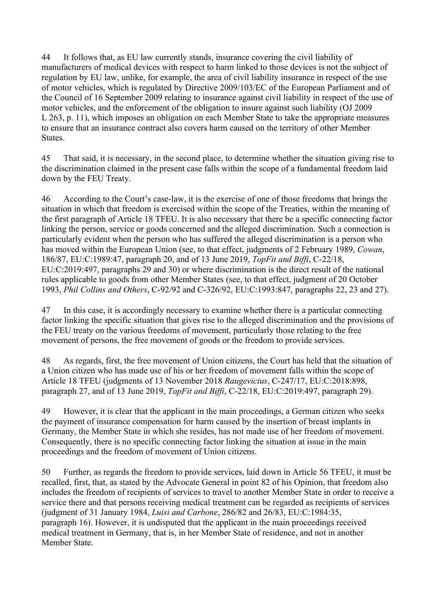44 It follows that, as EU law currently stands, insurance covering the civil liability of manufacturers of medical devices with respect to harm linked to those devices is not the subject of regulation by EU law, unlike, for example, the area of civil liability insurance in respect of the use of motor vehicles, which is regulated by Directive 2009/103/EC of the European Parliament and of the Council of 16 September 2009 relating to insurance against civil liability in respect of the use of motor vehicles, and the enforcement of the obligation to insure against such liability (OJ 2009 L 263, p. 11), which imposes an obligation on each Member State to take the appropriate measures to ensure that an insurance contract also covers harm caused on the territory of other Member **States**.

45 That said, it is necessary, in the second place, to determine whether the situation giving rise to the discrimination claimed in the present case falls within the scope of a fundamental freedom laid down by the FEU Treaty.

46 According to the Court's case-law, it is the exercise of one of those freedoms that brings the situation in which that freedom is exercised within the scope of the Treaties, within the meaning of the first paragraph of Article 18 TFEU. It is also necessary that there be a specific connecting factor linking the person, service or goods concerned and the alleged discrimination. Such a connection is particularly evident when the person who has suffered the alleged discrimination is a person who has moved within the European Union (see, to that effect, judgments of 2 February 1989, *Cowan*, 186/87, EU:C:1989:47, paragraph 20, and of 13 June 2019, *TopFit and Biffi*, C-22/18, EU:C:2019:497, paragraphs 29 and 30) or where discrimination is the direct result of the national rules applicable to goods from other Member States (see, to that effect, judgment of 20 October 1993, *Phil Collins and Others*, C-92/92 and C-326/92, EU:C:1993:847, paragraphs 22, 23 and 27).

47 In this case, it is accordingly necessary to examine whether there is a particular connecting factor linking the specific situation that gives rise to the alleged discrimination and the provisions of the FEU treaty on the various freedoms of movement, particularly those relating to the free movement of persons, the free movement of goods or the freedom to provide services.

48 As regards, first, the free movement of Union citizens, the Court has held that the situation of a Union citizen who has made use of his or her freedom of movement falls within the scope of Article 18 TFEU (judgments of 13 November 2018 *Raugevicius*, C-247/17, EU:C:2018:898, paragraph 27, and of 13 June 2019, *TopFit and Biffi*, C-22/18, EU:C:2019:497, paragraph 29).

49 However, it is clear that the applicant in the main proceedings, a German citizen who seeks the payment of insurance compensation for harm caused by the insertion of breast implants in Germany, the Member State in which she resides, has not made use of her freedom of movement. Consequently, there is no specific connecting factor linking the situation at issue in the main proceedings and the freedom of movement of Union citizens.

50 Further, as regards the freedom to provide services, laid down in Article 56 TFEU, it must be recalled, first, that, as stated by the Advocate General in point 82 of his Opinion, that freedom also includes the freedom of recipients of services to travel to another Member State in order to receive a service there and that persons receiving medical treatment can be regarded as recipients of services (judgment of 31 January 1984, *Luisi and Carbone*, 286/82 and 26/83, EU:C:1984:35, paragraph 16). However, it is undisputed that the applicant in the main proceedings received medical treatment in Germany, that is, in her Member State of residence, and not in another Member State.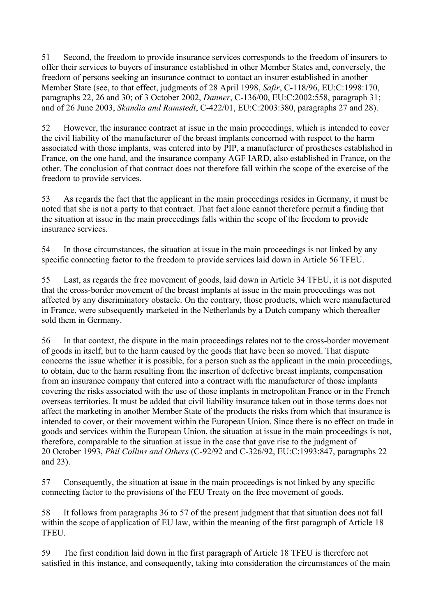51 Second, the freedom to provide insurance services corresponds to the freedom of insurers to offer their services to buyers of insurance established in other Member States and, conversely, the freedom of persons seeking an insurance contract to contact an insurer established in another Member State (see, to that effect, judgments of 28 April 1998, *Safir*, C-118/96, EU:C:1998:170, paragraphs 22, 26 and 30; of 3 October 2002, *Danner*, C-136/00, EU:C:2002:558, paragraph 31; and of 26 June 2003, *Skandia and Ramstedt*, C-422/01, EU:C:2003:380, paragraphs 27 and 28).

52 However, the insurance contract at issue in the main proceedings, which is intended to cover the civil liability of the manufacturer of the breast implants concerned with respect to the harm associated with those implants, was entered into by PIP, a manufacturer of prostheses established in France, on the one hand, and the insurance company AGF IARD, also established in France, on the other. The conclusion of that contract does not therefore fall within the scope of the exercise of the freedom to provide services.

53 As regards the fact that the applicant in the main proceedings resides in Germany, it must be noted that she is not a party to that contract. That fact alone cannot therefore permit a finding that the situation at issue in the main proceedings falls within the scope of the freedom to provide insurance services.

54 In those circumstances, the situation at issue in the main proceedings is not linked by any specific connecting factor to the freedom to provide services laid down in Article 56 TFEU.

55 Last, as regards the free movement of goods, laid down in Article 34 TFEU, it is not disputed that the cross-border movement of the breast implants at issue in the main proceedings was not affected by any discriminatory obstacle. On the contrary, those products, which were manufactured in France, were subsequently marketed in the Netherlands by a Dutch company which thereafter sold them in Germany.

56 In that context, the dispute in the main proceedings relates not to the cross-border movement of goods in itself, but to the harm caused by the goods that have been so moved. That dispute concerns the issue whether it is possible, for a person such as the applicant in the main proceedings, to obtain, due to the harm resulting from the insertion of defective breast implants, compensation from an insurance company that entered into a contract with the manufacturer of those implants covering the risks associated with the use of those implants in metropolitan France or in the French overseas territories. It must be added that civil liability insurance taken out in those terms does not affect the marketing in another Member State of the products the risks from which that insurance is intended to cover, or their movement within the European Union. Since there is no effect on trade in goods and services within the European Union, the situation at issue in the main proceedings is not, therefore, comparable to the situation at issue in the case that gave rise to the judgment of 20 October 1993, *Phil Collins and Others* (C-92/92 and C-326/92, EU:C:1993:847, paragraphs 22 and 23).

57 Consequently, the situation at issue in the main proceedings is not linked by any specific connecting factor to the provisions of the FEU Treaty on the free movement of goods.

58 It follows from paragraphs 36 to 57 of the present judgment that that situation does not fall within the scope of application of EU law, within the meaning of the first paragraph of Article 18 TFEU.

59 The first condition laid down in the first paragraph of Article 18 TFEU is therefore not satisfied in this instance, and consequently, taking into consideration the circumstances of the main